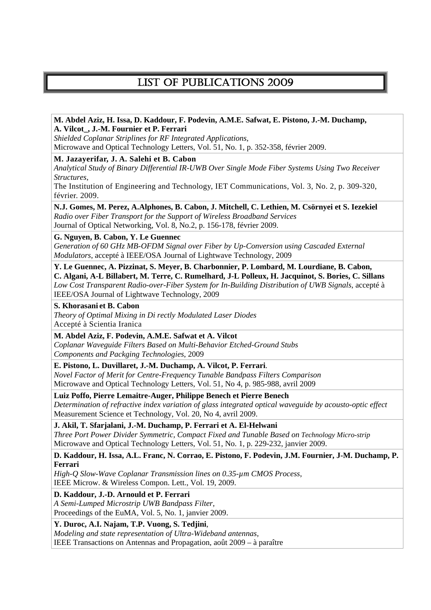# LIST OF PUBLICATIONS 2009

## **M. Abdel Aziz, H. Issa, D. Kaddour, F. Podevin, A.M.E. Safwat, E. Pistono, J.-M. Duchamp, A. Vilcot\_, J.-M. Fournier et P. Ferrari**  *Shielded Coplanar Striplines for RF Integrated Applications*, Microwave and Optical Technology Letters, Vol. 51, No. 1, p. 352-358, février 2009. **M. Jazayerifar, J. A. Salehi et B. Cabon**  *Analytical Study of Binary Differential IR-UWB Over Single Mode Fiber Systems Using Two Receiver Structures*, The Institution of Engineering and Technology, IET Communications, Vol. 3, No. 2, p. 309-320, février. 2009. **N.J. Gomes, M. Perez, A.Alphones, B. Cabon, J. Mitchell, C. Lethien, M. Csörnyei et S. Iezekiel**  *Radio over Fiber Transport for the Support of Wireless Broadband Services*  Journal of Optical Networking, Vol. 8, No.2, p. 156-178, février 2009. **G. Nguyen, B. Cabon, Y. Le Guennec**  *Generation of 60 GHz MB-OFDM Signal over Fiber by Up-Conversion using Cascaded External Modulators*, accepté à IEEE/OSA Journal of Lightwave Technology, 2009 **Y. Le Guennec, A. Pizzinat, S. Meyer, B. Charbonnier, P. Lombard, M. Lourdiane, B. Cabon, C. Algani, A-L Billabert, M. Terre, C. Rumelhard, J-L Polleux, H. Jacquinot, S. Bories, C. Sillans** *Low Cost Transparent Radio-over-Fiber System for In-Building Distribution of UWB Signals*, accepté à IEEE/OSA Journal of Lightwave Technology, 2009 **S. Khorasani et B. Cabon**  *Theory of Optimal Mixing in Di rectly Modulated Laser Diodes*  Accepté à Scientia Iranica **M. Abdel Aziz, F. Podevin, A.M.E. Safwat et A. Vilcot** *Coplanar Waveguide Filters Based on Multi-Behavior Etched-Ground Stubs Components and Packging Technologies*, 2009 **E. Pistono, L. Duvillaret, J.-M. Duchamp, A. Vilcot, P. Ferrari**. *Novel Factor of Merit for Centre-Frequency Tunable Bandpass Filters Comparison*

Microwave and Optical Technology Letters, Vol. 51, No 4, p. 985-988, avril 2009

**Luiz Poffo, Pierre Lemaitre-Auger, Philippe Benech et Pierre Benech** *Determination of refractive index variation of glass integrated optical waveguide by acousto-optic effect* Measurement Science et Technology, Vol. 20, No 4, avril 2009.

**J. Akil, T. Sfarjalani, J.-M. Duchamp, P. Ferrari et A. El-Helwani** 

*Three Port Power Divider Symmetric, Compact Fixed and Tunable Based on Technology Micro-strip*  Microwave and Optical Technology Letters, Vol. 51, No. 1, p. 229-232, janvier 2009.

### **D. Kaddour, H. Issa, A.L. Franc, N. Corrao, E. Pistono, F. Podevin, J.M. Fournier, J-M. Duchamp, P. Ferrari**

*High-Q Slow-Wave Coplanar Transmission lines on 0.35-µm CMOS Process*, IEEE Microw. & Wireless Compon. Lett., Vol. 19, 2009.

**D. Kaddour, J.-D. Arnould et P. Ferrari** 

*A Semi-Lumped Microstrip UWB Bandpass Filter,*  Proceedings of the EuMA, Vol. 5, No. 1, janvier 2009.

**Y. Duroc, A.I. Najam, T.P. Vuong, S. Tedjini**,

*Modeling and state representation of Ultra-Wideband antennas,* 

IEEE Transactions on Antennas and Propagation, août 2009 – à paraître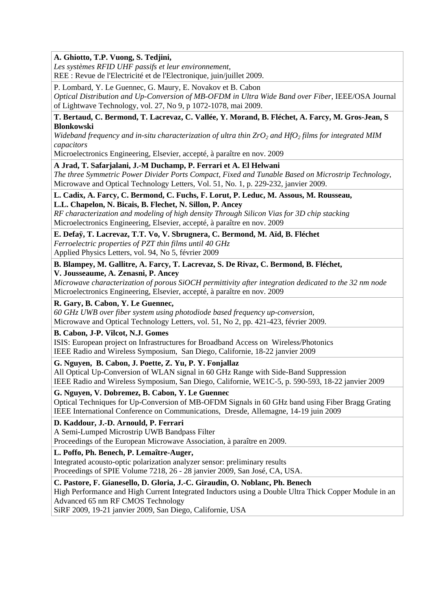## **A. Ghiotto, T.P. Vuong, S. Tedjini,**

*Les systèmes RFID UHF passifs et leur environnement,*  REE : Revue de l'Electricité et de l'Electronique, juin/juillet 2009.

P. Lombard, Y. Le Guennec, G. Maury, E. Novakov et B. Cabon *Optical Distribution and Up-Conversion of MB-OFDM in Ultra Wide Band over Fiber*, IEEE/OSA Journal of Lightwave Technology, vol. 27, No 9, p 1072-1078, mai 2009.

### **T. Bertaud, C. Bermond, T. Lacrevaz, C. Vallée, Y. Morand, B. Fléchet, A. Farcy, M. Gros-Jean, S Blonkowski**

*Wideband frequency and in-situ characterization of ultra thin ZrO<sub>2</sub> and HfO<sub>2</sub> films for integrated MIM capacitors* 

Microelectronics Engineering, Elsevier, accepté, à paraître en nov. 2009

### **A Jrad, T. Safarjalani, J.-M Duchamp, P. Ferrari et A. El Helwani**

*The three Symmetric Power Divider Ports Compact, Fixed and Tunable Based on Microstrip Technology*, Microwave and Optical Technology Letters, Vol. 51, No. 1, p. 229-232, janvier 2009.

## **L. Cadix, A. Farcy, C. Bermond, C. Fuchs, F. Lorut, P. Leduc, M. Assous, M. Rousseau,**

## **L.L. Chapelon, N. Bicais, B. Flechet, N. Sillon, P. Ancey**

*RF characterization and modeling of high density Through Silicon Vias for 3D chip stacking*  Microelectronics Engineering, Elsevier, accepté, à paraître en nov. 2009

### **E. Defaÿ, T. Lacrevaz, T.T. Vo, V. Sbrugnera, C. Bermond, M. Aïd, B. Fléchet**

*Ferroelectric properties of PZT thin films until 40 GHz*  Applied Physics Letters, vol. 94, No 5, février 2009

### **B. Blampey, M. Gallitre, A. Farcy, T. Lacrevaz, S. De Rivaz, C. Bermond, B. Fléchet,**

**V. Jousseaume, A. Zenasni, P. Ancey** 

*Microwave characterization of porous SiOCH permittivity after integration dedicated to the 32 nm node*  Microelectronics Engineering, Elsevier, accepté, à paraître en nov. 2009

### **R. Gary, B. Cabon, Y. Le Guennec,**

*60 GHz UWB over fiber system using photodiode based frequency up-conversion,*  Microwave and Optical Technology Letters, vol. 51, No 2, pp. 421-423, février 2009.

### **B. Cabon, J-P. Vilcot, N.J. Gomes**

ISIS: European project on Infrastructures for Broadband Access on Wireless/Photonics IEEE Radio and Wireless Symposium, San Diego, Californie, 18-22 janvier 2009

### **G. Nguyen, B. Cabon, J. Poette, Z. Yu, P. Y. Fonjallaz**

All Optical Up-Conversion of WLAN signal in 60 GHz Range with Side-Band Suppression IEEE Radio and Wireless Symposium, San Diego, Californie, WE1C-5, p. 590-593, 18-22 janvier 2009

## **G. Nguyen, V. Dobremez, B. Cabon, Y. Le Guennec**

Optical Techniques for Up-Conversion of MB-OFDM Signals in 60 GHz band using Fiber Bragg Grating IEEE International Conference on Communications, Dresde, Allemagne, 14-19 juin 2009

## **D. Kaddour, J.-D. Arnould, P. Ferrari**

A Semi-Lumped Microstrip UWB Bandpass Filter

Proceedings of the European Microwave Association, à paraître en 2009.

## **L. Poffo, Ph. Benech, P. Lemaître-Auger,**

Integrated acousto-optic polarization analyzer sensor: preliminary results Proceedings of SPIE Volume 7218, 26 - 28 janvier 2009, San José, CA, USA.

## **C. Pastore, F. Gianesello, D. Gloria, J.-C. Giraudin, O. Noblanc, Ph. Benech**

High Performance and High Current Integrated Inductors using a Double Ultra Thick Copper Module in an Advanced 65 nm RF CMOS Technology

SiRF 2009, 19-21 janvier 2009, San Diego, Californie, USA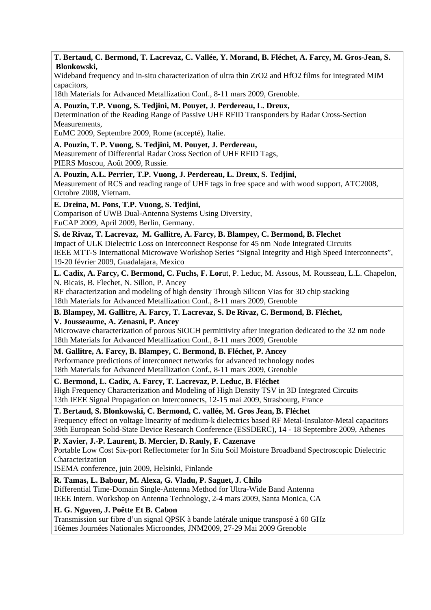### **T. Bertaud, C. Bermond, T. Lacrevaz, C. Vallée, Y. Morand, B. Fléchet, A. Farcy, M. Gros-Jean, S. Blonkowski,**

Wideband frequency and in-situ characterization of ultra thin ZrO2 and HfO2 films for integrated MIM capacitors,

18th Materials for Advanced Metallization Conf., 8-11 mars 2009, Grenoble.

### **A. Pouzin, T.P. Vuong, S. Tedjini, M. Pouyet, J. Perdereau, L. Dreux,**

Determination of the Reading Range of Passive UHF RFID Transponders by Radar Cross-Section Measurements,

EuMC 2009, Septembre 2009, Rome (accepté), Italie.

## **A. Pouzin, T. P. Vuong, S. Tedjini, M. Pouyet, J. Perdereau,**

Measurement of Differential Radar Cross Section of UHF RFID Tags, PIERS Moscou, Août 2009, Russie.

### **A. Pouzin, A.L. Perrier, T.P. Vuong, J. Perdereau, L. Dreux, S. Tedjini,**

Measurement of RCS and reading range of UHF tags in free space and with wood support, ATC2008, Octobre 2008, Vietnam.

## **E. Dreina, M. Pons, T.P. Vuong, S. Tedjini,**

Comparison of UWB Dual-Antenna Systems Using Diversity, EuCAP 2009, April 2009, Berlin, Germany.

## **S. de Rivaz, T. Lacrevaz, M. Gallitre, A. Farcy, B. Blampey, C. Bermond, B. Flechet**  Impact of ULK Dielectric Loss on Interconnect Response for 45 nm Node Integrated Circuits

IEEE MTT-S International Microwave Workshop Series "Signal Integrity and High Speed Interconnects", 19-20 février 2009, Guadalajara, Mexico

## **L. Cadix, A. Farcy, C. Bermond, C. Fuchs, F. Lor**ut, P. Leduc, M. Assous, M. Rousseau, L.L. Chapelon, N. Bicais, B. Flechet, N. Sillon, P. Ancey

RF characterization and modeling of high density Through Silicon Vias for 3D chip stacking 18th Materials for Advanced Metallization Conf., 8-11 mars 2009, Grenoble

**B. Blampey, M. Gallitre, A. Farcy, T. Lacrevaz, S. De Rivaz, C. Bermond, B. Fléchet, V. Jousseaume, A. Zenasni, P. Ancey** 

Microwave characterization of porous SiOCH permittivity after integration dedicated to the 32 nm node 18th Materials for Advanced Metallization Conf., 8-11 mars 2009, Grenoble

## **M. Gallitre, A. Farcy, B. Blampey, C. Bermond, B. Fléchet, P. Ancey**

Performance predictions of interconnect networks for advanced technology nodes 18th Materials for Advanced Metallization Conf., 8-11 mars 2009, Grenoble

## **C. Bermond, L. Cadix, A. Farcy, T. Lacrevaz, P. Leduc, B. Fléchet**

High Frequency Characterization and Modeling of High Density TSV in 3D Integrated Circuits 13th IEEE Signal Propagation on Interconnects, 12-15 mai 2009, Strasbourg, France

## **T. Bertaud, S. Blonkowski, C. Bermond, C. vallée, M. Gros Jean, B. Fléchet**

Frequency effect on voltage linearity of medium-k dielectrics based RF Metal-Insulator-Metal capacitors 39th European Solid-State Device Research Conference (ESSDERC), 14 - 18 Septembre 2009, Athenes

## **P. Xavier, J.-P. Laurent, B. Mercier, D. Rauly, F. Cazenave**

Portable Low Cost Six-port Reflectometer for In Situ Soil Moisture Broadband Spectroscopic Dielectric Characterization

ISEMA conference, juin 2009, Helsinki, Finlande

## **R. Tamas, L. Babour, M. Alexa, G. Vladu, P. Saguet, J. Chilo**

Differential Time-Domain Single-Antenna Method for Ultra-Wide Band Antenna IEEE Intern. Workshop on Antenna Technology, 2-4 mars 2009, Santa Monica, CA

## **H. G. Nguyen, J. Poëtte Et B. Cabon**

Transmission sur fibre d'un signal QPSK à bande latérale unique transposé à 60 GHz 16èmes Journées Nationales Microondes, JNM2009, 27-29 Mai 2009 Grenoble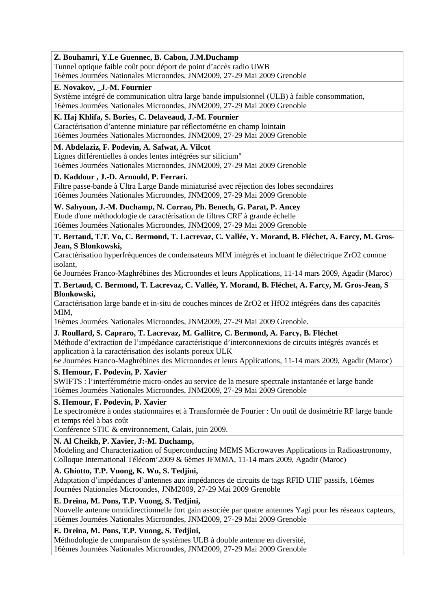## **Z. Bouhamri, Y.Le Guennec, B. Cabon, J.M.Duchamp**

Tunnel optique faible coût pour déport de point d'accès radio UWB 16èmes Journées Nationales Microondes, JNM2009, 27-29 Mai 2009 Grenoble

### **E. Novakov, \_J.-M. Fournier**

Système intégré de communication ultra large bande impulsionnel (ULB) à faible consommation, 16èmes Journées Nationales Microondes, JNM2009, 27-29 Mai 2009 Grenoble

## **K. Haj Khlifa, S. Bories, C. Delaveaud, J.-M. Fournier**

Caractérisation d'antenne miniature par réflectométrie en champ lointain 16èmes Journées Nationales Microondes, JNM2009, 27-29 Mai 2009 Grenoble

## **M. Abdelaziz, F. Podevin, A. Safwat, A. Vilcot**

Lignes différentielles à ondes lentes intégrées sur silicium" 16èmes Journées Nationales Microondes, JNM2009, 27-29 Mai 2009 Grenoble

### **D. Kaddour , J.-D. Arnould, P. Ferrari.**

Filtre passe-bande à Ultra Large Bande miniaturisé avec réjection des lobes secondaires 16èmes Journées Nationales Microondes, JNM2009, 27-29 Mai 2009 Grenoble

## **W. Sahyoun, J.-M. Duchamp, N. Corrao, Ph. Benech, G. Parat, P. Ancey**

Etude d'une méthodologie de caractérisation de filtres CRF à grande échelle 16èmes Journées Nationales Microondes, JNM2009, 27-29 Mai 2009 Grenoble

### **T. Bertaud, T.T. Vo, C. Bermond, T. Lacrevaz, C. Vallée, Y. Morand, B. Fléchet, A. Farcy, M. Gros-Jean, S Blonkowski,**

Caractérisation hyperfréquences de condensateurs MIM intégrés et incluant le diélectrique ZrO2 comme isolant,

6e Journées Franco-Maghrébines des Microondes et leurs Applications, 11-14 mars 2009, Agadir (Maroc)

### **T. Bertaud, C. Bermond, T. Lacrevaz, C. Vallée, Y. Morand, B. Fléchet, A. Farcy, M. Gros-Jean, S Blonkowski,**

Caractérisation large bande et in-situ de couches minces de ZrO2 et HfO2 intégrées dans des capacités MIM,

16èmes Journées Nationales Microondes, JNM2009, 27-29 Mai 2009 Grenoble.

### **J. Roullard, S. Capraro, T. Lacrevaz, M. Gallitre, C. Bermond, A. Farcy, B. Fléchet**

Méthode d'extraction de l'impédance caractéristique d'interconnexions de circuits intégrés avancés et application à la caractérisation des isolants poreux ULK

6e Journées Franco-Maghrébines des Microondes et leurs Applications, 11-14 mars 2009, Agadir (Maroc)

## **S. Hemour, F. Podevin, P. Xavier**

SWIFTS : l'interférométrie micro-ondes au service de la mesure spectrale instantanée et large bande 16èmes Journées Nationales Microondes, JNM2009, 27-29 Mai 2009 Grenoble

### **S. Hemour, F. Podevin, P. Xavier**

Le spectromètre à ondes stationnaires et à Transformée de Fourier : Un outil de dosimétrie RF large bande et temps réel à bas coût

Conférence STIC & environnement, Calais, juin 2009.

### **N. Al Cheikh, P. Xavier, J:-M. Duchamp,**

Modeling and Characterization of Superconducting MEMS Microwaves Applications in Radioastronomy, Colloque International Télécom'2009 & 6èmes JFMMA, 11-14 mars 2009, Agadir (Maroc)

## **A. Ghiotto, T.P. Vuong, K. Wu, S. Tedjini,**

Adaptation d'impédances d'antennes aux impédances de circuits de tags RFID UHF passifs, 16èmes Journées Nationales Microondes, JNM2009, 27-29 Mai 2009 Grenoble

## **E. Dreina, M. Pons, T.P. Vuong, S. Tedjini,**

Nouvelle antenne omnidirectionnelle fort gain associée par quatre antennes Yagi pour les réseaux capteurs, 16èmes Journées Nationales Microondes, JNM2009, 27-29 Mai 2009 Grenoble

## **E. Dreina, M. Pons, T.P. Vuong, S. Tedjini,**

Méthodologie de comparaison de systèmes ULB à double antenne en diversité, 16èmes Journées Nationales Microondes, JNM2009, 27-29 Mai 2009 Grenoble